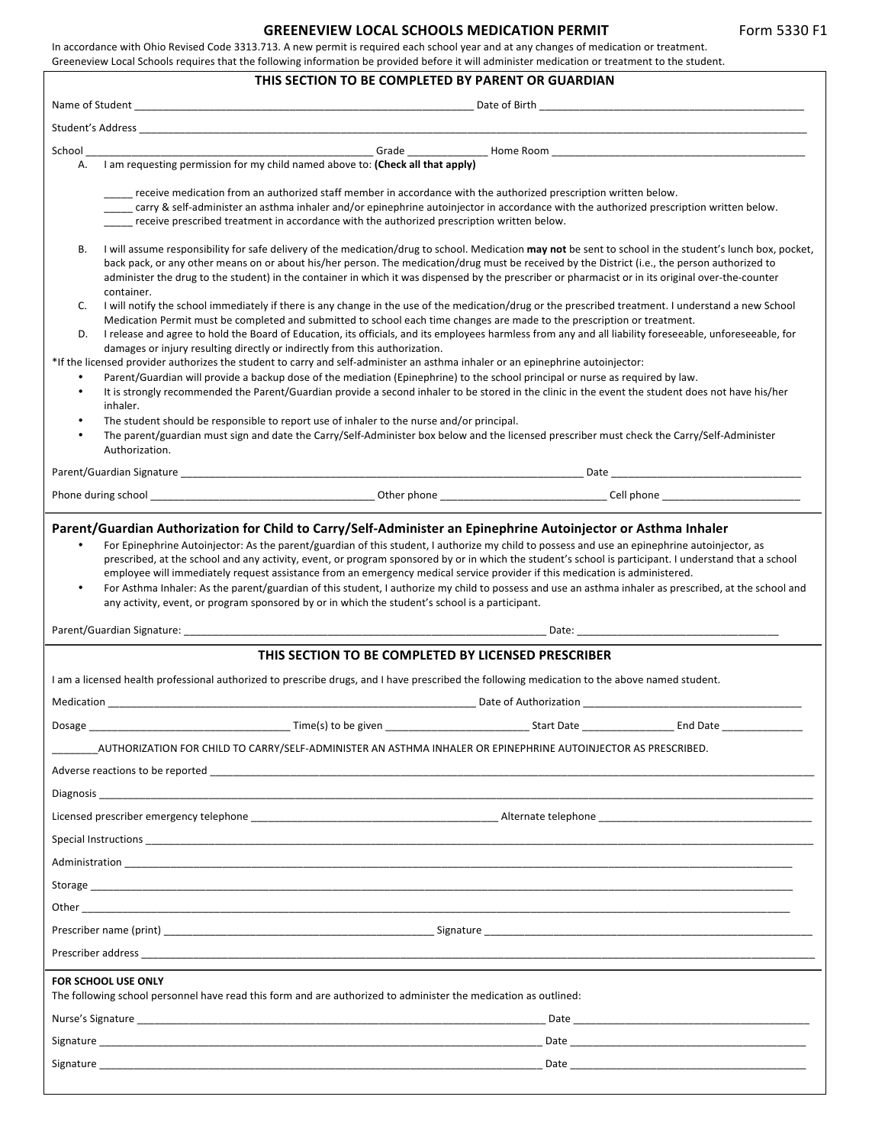|                                                                                                                                                                                                                                                                                                                                                                                                                                                                                                                                                                                                                                                                                                                                                                                                                                    |                                                                                                                                                                                                                                                                                                                                                                                                                                                                   |  | Form 5330 F1 |  |
|------------------------------------------------------------------------------------------------------------------------------------------------------------------------------------------------------------------------------------------------------------------------------------------------------------------------------------------------------------------------------------------------------------------------------------------------------------------------------------------------------------------------------------------------------------------------------------------------------------------------------------------------------------------------------------------------------------------------------------------------------------------------------------------------------------------------------------|-------------------------------------------------------------------------------------------------------------------------------------------------------------------------------------------------------------------------------------------------------------------------------------------------------------------------------------------------------------------------------------------------------------------------------------------------------------------|--|--------------|--|
| In accordance with Ohio Revised Code 3313.713. A new permit is required each school year and at any changes of medication or treatment.                                                                                                                                                                                                                                                                                                                                                                                                                                                                                                                                                                                                                                                                                            | <b>GREENEVIEW LOCAL SCHOOLS MEDICATION PERMIT</b>                                                                                                                                                                                                                                                                                                                                                                                                                 |  |              |  |
| Greeneview Local Schools requires that the following information be provided before it will administer medication or treatment to the student.                                                                                                                                                                                                                                                                                                                                                                                                                                                                                                                                                                                                                                                                                     | THIS SECTION TO BE COMPLETED BY PARENT OR GUARDIAN                                                                                                                                                                                                                                                                                                                                                                                                                |  |              |  |
|                                                                                                                                                                                                                                                                                                                                                                                                                                                                                                                                                                                                                                                                                                                                                                                                                                    |                                                                                                                                                                                                                                                                                                                                                                                                                                                                   |  |              |  |
| Student's Address and the students of the students of the students of the students of the students of the studio                                                                                                                                                                                                                                                                                                                                                                                                                                                                                                                                                                                                                                                                                                                   |                                                                                                                                                                                                                                                                                                                                                                                                                                                                   |  |              |  |
|                                                                                                                                                                                                                                                                                                                                                                                                                                                                                                                                                                                                                                                                                                                                                                                                                                    |                                                                                                                                                                                                                                                                                                                                                                                                                                                                   |  |              |  |
| I am requesting permission for my child named above to: (Check all that apply)<br>Α.                                                                                                                                                                                                                                                                                                                                                                                                                                                                                                                                                                                                                                                                                                                                               |                                                                                                                                                                                                                                                                                                                                                                                                                                                                   |  |              |  |
| receive medication from an authorized staff member in accordance with the authorized prescription written below.<br>.carry & self-administer an asthma inhaler and/or epinephrine autoinjector in accordance with the authorized prescription written below.<br>____ receive prescribed treatment in accordance with the authorized prescription written below.                                                                                                                                                                                                                                                                                                                                                                                                                                                                    |                                                                                                                                                                                                                                                                                                                                                                                                                                                                   |  |              |  |
| В.<br>container.                                                                                                                                                                                                                                                                                                                                                                                                                                                                                                                                                                                                                                                                                                                                                                                                                   | I will assume responsibility for safe delivery of the medication/drug to school. Medication may not be sent to school in the student's lunch box, pocket,<br>back pack, or any other means on or about his/her person. The medication/drug must be received by the District (i.e., the person authorized to<br>administer the drug to the student) in the container in which it was dispensed by the prescriber or pharmacist or in its original over-the-counter |  |              |  |
| I will notify the school immediately if there is any change in the use of the medication/drug or the prescribed treatment. I understand a new School<br>C.<br>Medication Permit must be completed and submitted to school each time changes are made to the prescription or treatment.<br>I release and agree to hold the Board of Education, its officials, and its employees harmless from any and all liability foreseeable, unforeseeable, for<br>D.<br>damages or injury resulting directly or indirectly from this authorization.                                                                                                                                                                                                                                                                                            |                                                                                                                                                                                                                                                                                                                                                                                                                                                                   |  |              |  |
| *If the licensed provider authorizes the student to carry and self-administer an asthma inhaler or an epinephrine autoinjector:<br>Parent/Guardian will provide a backup dose of the mediation (Epinephrine) to the school principal or nurse as required by law.<br>٠<br>It is strongly recommended the Parent/Guardian provide a second inhaler to be stored in the clinic in the event the student does not have his/her<br>$\bullet$<br>inhaler.                                                                                                                                                                                                                                                                                                                                                                               |                                                                                                                                                                                                                                                                                                                                                                                                                                                                   |  |              |  |
| $\bullet$<br>The student should be responsible to report use of inhaler to the nurse and/or principal.<br>The parent/guardian must sign and date the Carry/Self-Administer box below and the licensed prescriber must check the Carry/Self-Administer<br>$\bullet$<br>Authorization.                                                                                                                                                                                                                                                                                                                                                                                                                                                                                                                                               |                                                                                                                                                                                                                                                                                                                                                                                                                                                                   |  |              |  |
|                                                                                                                                                                                                                                                                                                                                                                                                                                                                                                                                                                                                                                                                                                                                                                                                                                    |                                                                                                                                                                                                                                                                                                                                                                                                                                                                   |  |              |  |
|                                                                                                                                                                                                                                                                                                                                                                                                                                                                                                                                                                                                                                                                                                                                                                                                                                    |                                                                                                                                                                                                                                                                                                                                                                                                                                                                   |  |              |  |
| Parent/Guardian Authorization for Child to Carry/Self-Administer an Epinephrine Autoinjector or Asthma Inhaler<br>For Epinephrine Autoinjector: As the parent/guardian of this student, I authorize my child to possess and use an epinephrine autoinjector, as<br>prescribed, at the school and any activity, event, or program sponsored by or in which the student's school is participant. I understand that a school<br>employee will immediately request assistance from an emergency medical service provider if this medication is administered.<br>For Asthma Inhaler: As the parent/guardian of this student, I authorize my child to possess and use an asthma inhaler as prescribed, at the school and<br>$\bullet$<br>any activity, event, or program sponsored by or in which the student's school is a participant. |                                                                                                                                                                                                                                                                                                                                                                                                                                                                   |  |              |  |
|                                                                                                                                                                                                                                                                                                                                                                                                                                                                                                                                                                                                                                                                                                                                                                                                                                    |                                                                                                                                                                                                                                                                                                                                                                                                                                                                   |  |              |  |
|                                                                                                                                                                                                                                                                                                                                                                                                                                                                                                                                                                                                                                                                                                                                                                                                                                    | THIS SECTION TO BE COMPLETED BY LICENSED PRESCRIBER                                                                                                                                                                                                                                                                                                                                                                                                               |  |              |  |
| I am a licensed health professional authorized to prescribe drugs, and I have prescribed the following medication to the above named student.                                                                                                                                                                                                                                                                                                                                                                                                                                                                                                                                                                                                                                                                                      |                                                                                                                                                                                                                                                                                                                                                                                                                                                                   |  |              |  |
|                                                                                                                                                                                                                                                                                                                                                                                                                                                                                                                                                                                                                                                                                                                                                                                                                                    |                                                                                                                                                                                                                                                                                                                                                                                                                                                                   |  |              |  |
|                                                                                                                                                                                                                                                                                                                                                                                                                                                                                                                                                                                                                                                                                                                                                                                                                                    |                                                                                                                                                                                                                                                                                                                                                                                                                                                                   |  |              |  |
| AUTHORIZATION FOR CHILD TO CARRY/SELF-ADMINISTER AN ASTHMA INHALER OR EPINEPHRINE AUTOINJECTOR AS PRESCRIBED.                                                                                                                                                                                                                                                                                                                                                                                                                                                                                                                                                                                                                                                                                                                      |                                                                                                                                                                                                                                                                                                                                                                                                                                                                   |  |              |  |
|                                                                                                                                                                                                                                                                                                                                                                                                                                                                                                                                                                                                                                                                                                                                                                                                                                    |                                                                                                                                                                                                                                                                                                                                                                                                                                                                   |  |              |  |
|                                                                                                                                                                                                                                                                                                                                                                                                                                                                                                                                                                                                                                                                                                                                                                                                                                    |                                                                                                                                                                                                                                                                                                                                                                                                                                                                   |  |              |  |
|                                                                                                                                                                                                                                                                                                                                                                                                                                                                                                                                                                                                                                                                                                                                                                                                                                    |                                                                                                                                                                                                                                                                                                                                                                                                                                                                   |  |              |  |

Special Instructions \_\_\_\_\_\_\_\_\_\_\_\_\_\_\_\_\_\_\_\_\_\_\_\_\_\_\_\_\_\_\_\_\_\_\_\_\_\_\_\_\_\_\_\_\_\_\_\_\_\_\_\_\_\_\_\_\_\_\_\_\_\_\_\_\_\_\_\_\_\_\_\_\_\_\_\_\_\_\_\_\_\_\_\_\_\_\_\_\_\_\_\_\_\_\_\_\_\_\_\_\_\_\_\_\_\_\_\_\_\_\_\_\_\_\_\_ 

Administration Storage \_\_\_\_\_\_\_\_\_\_\_\_\_\_\_\_\_\_\_\_\_\_\_\_\_\_\_\_\_\_\_\_\_\_\_\_\_\_\_\_\_\_\_\_\_\_\_\_\_\_\_\_\_\_\_\_\_\_\_\_\_\_\_\_\_\_\_\_\_\_\_\_\_\_\_\_\_\_\_\_\_\_\_\_\_\_\_\_\_\_\_\_\_\_\_\_\_\_\_\_\_\_\_\_\_\_\_\_\_\_\_\_\_\_\_\_\_\_\_\_\_\_ 

Other \_\_\_\_\_\_\_\_\_\_\_\_\_\_\_\_\_\_\_\_\_\_\_\_\_\_\_\_\_\_\_\_\_\_\_\_\_\_\_\_\_\_\_\_\_\_\_\_\_\_\_\_\_\_\_\_\_\_\_\_\_\_\_\_\_\_\_\_\_\_\_\_\_\_\_\_\_\_\_\_\_\_\_\_\_\_\_\_\_\_\_\_\_\_\_\_\_\_\_\_\_\_\_\_\_\_\_\_\_\_\_\_\_\_\_\_\_\_\_\_\_\_\_ 

Prescriber address \_\_\_\_\_\_\_\_\_\_\_\_\_\_\_\_\_\_\_\_\_\_\_\_\_\_\_\_\_\_\_\_\_\_\_\_\_\_\_\_\_\_\_\_\_\_\_\_\_\_\_\_\_\_\_\_\_\_\_\_\_\_\_\_\_\_\_\_\_\_\_\_\_\_\_\_\_\_\_\_\_\_\_\_\_\_\_\_\_\_\_\_\_\_\_\_\_\_\_\_\_\_\_\_\_\_\_\_\_\_\_\_\_\_\_\_\_ 

Prescriber name (print) \_\_\_\_\_\_\_\_\_\_\_\_\_\_\_\_\_\_\_\_\_\_\_\_\_\_\_\_\_\_\_\_\_\_\_\_\_\_\_\_\_\_\_\_\_\_\_ Signature \_\_\_\_\_\_\_\_\_\_\_\_\_\_\_\_\_\_\_\_\_\_\_\_\_\_\_\_\_\_\_\_\_\_\_\_\_\_\_\_\_\_\_\_\_\_\_\_\_\_\_\_\_\_\_\_\_ 

**FOR SCHOOL USE ONLY** 

The following school personnel have read this form and are authorized to administer the medication as outlined:

| Nurse's Signature | Date |
|-------------------|------|
| Signature         | Date |
| Signature         | Date |